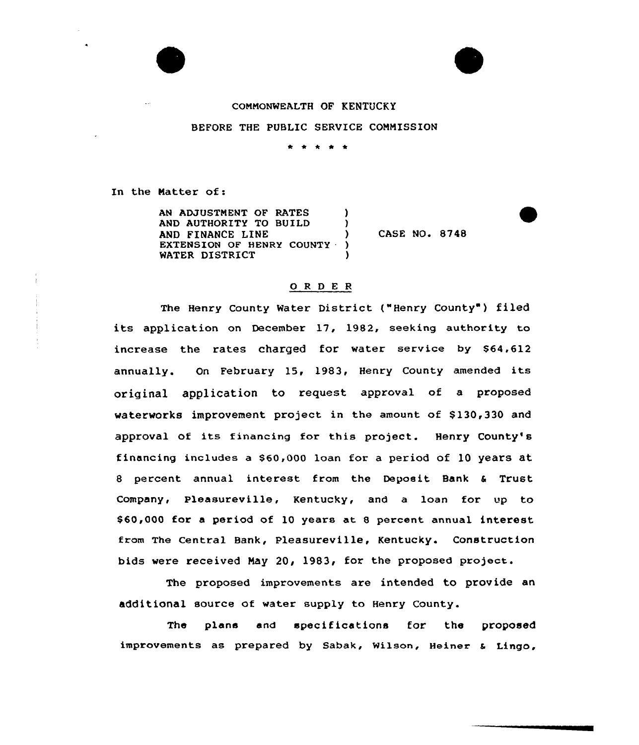



## CONNONWEALTH OF KENTUCKY

#### BEFORE THE PUBLIC SERVICE COMNISSION

\* \* \* \*

In the Natter of:

AN ADJUSTMENT OF RATES AND AUTHORITY TO BUILD AND FINANCE LINE EXTENSION OF HENRY COUNTY ) WATER DISTRICT CASE NO. 8748

## 0 <sup>R</sup> <sup>D</sup> <sup>E</sup> <sup>R</sup>

The Henry County Water District ("Henry County") filed its application on December 17, 1982, seeking authority to increase the rates charged for water service by 864,612 annually. On February 15, 1983, Henry County amended its original appliCation to request approval of a proposed waterworks improvement project in the amount of \$130,330 and approval of its financing for this project. Henry County's financing includes a S60,000 loan for a period of 10 years at 8 percent annual interest from the Deposit Bank <sup>6</sup> Trust Company, Pleasureville, Kentucky, and a loan for up to \$60,000 for a period of 10 years at 8 percent annual interest fram The Central Bank, Pleasureville, Kentucky. Construction bids were received Nay 20, 1983, for the proposed project.

The proposed improvements are intended to provide an additional source of water supply to Henry County.

The plans and specifications for the proposed improvements as prepared by Sabak, Wilson, Heiner & Lingo,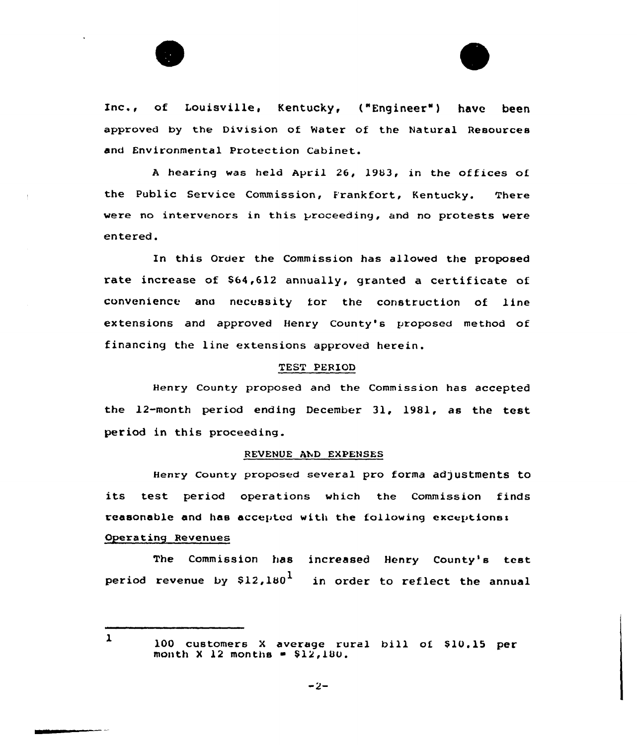



<sup>A</sup> hearing was held April 26, l983, in the offices of the Public Service Commission, E'rankfort, Kentucky. There wexe no intexvencxs in this proceeding, and no protests were entered.

In this Order the Commission has allowed the proposed rate increase of \$64,612 annually, granted a certificate of convenience ano necessity ior the construction of line extensions and approved Henry County's proposed method of financing the line extensions approved herein.

#### TEST PERIOD

Henry County proposed and the Commission has accepted the l2-month period ending December 31, 1981, as the test period in this proceeding.

#### REVENUE AND EXPENSES

Henry county proposed several pro forma adjustments to its test period operations which the Commission finds reasonable and has accepted with the following exceptiones Operating Revenues

The Commission has increased Henry County's test period revenue by  $$12,180<sup>1</sup>$  in order to reflect the annual

 $\mathbf{1}$ 

<sup>100</sup> customers X average rural bill of \$10.15 per month  $X$  12 months  $=$  \$12,180.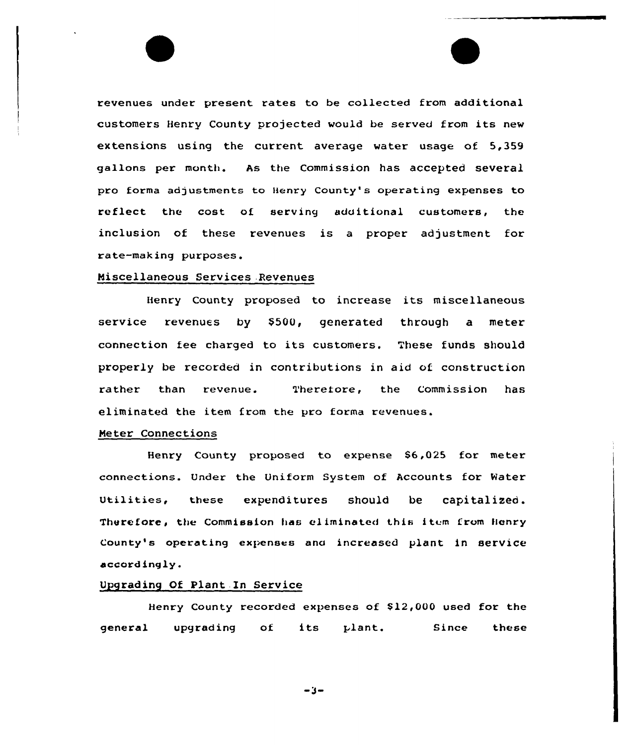revenues under present rates to be collected from additional customers Henry County projected would be served from its new extensions using the current average water usage of 5,359 gallons per month. As the Commission has accepted several pro forma adjustments to Henry County's operating expenses to reflect the cost of serving additional customers, the inclusion of these revenues is a proper adjustment for rate-making purposes.

## Miscellaneous Services .Revenues

Henxy County pxoposed to increase its miscellaneous service revenues by \$500, generated through a meter connection fee charged to its customers. These funds should properly be recorded in contributions in aid of construction rather than revenue. Theretore, the Commission has eliminated the item from the pro forma revenues.

## Ne ter Connections

Henry County proposed to expense 86,025 fax meter connections. Undex the Uniform System af Accounts for Water utilities, these expenditures should be capitalized . Therefore, the Commission has eliminated this item from Henry County's operating expenses ana increased plant in service accordingly.

## Upgrading Of Plant In Service

Henry County recorded expenses of \$12,000 used for the general upgrading of its plant. Since these

-3-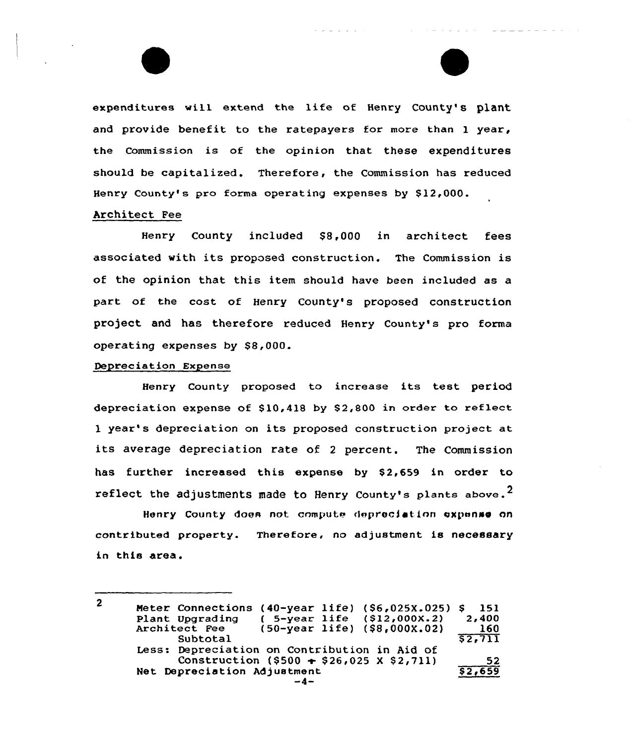expenditures will extend the life of Henry County's plant and provide benefit to the ratepayers for more than 1 year, the commission is of the opinion that these expenditures should be capitalized. Therefore, the Commission has reduced Henry County's pro forma operating expenses by \$12,000.

الأرابين المرابط العرارية

the same service control of the

and more more many comes

## Architect Fee

Henry County included \$8,000 in architect fees associated with its proposed construction. The Commission is of the opinion that this item should have been included as a part of the cost of Henry County's proposed construction project and has therefore reduced Henry County's pro forma operating expenses by \$8,000.

## Depreciation Expense

Henry County proposed to increase its test period depreciation expense of  $$10,418$  by  $$2,800$  in order to reflect <sup>1</sup> year's depreciation on its proposed construction project at its average depreciation rate of <sup>2</sup> percent. The Commission has further increased this expense by \$2,659 in order to reflect the adjustments made to Henry County's plants above.<sup>2</sup>

Henry County does not compute depreciation expense on contributed property. Therefore, no adjustment is necessary in this area.

 $\overline{2}$ Heter Connections (40-year life) (\$6,025X.025) \$ 151 Plant Upgrading ( 5-year life (\$12,000X.2)<br>Architect Fee (50-year life) (\$8,000X.02) 2g400 160 Subtotal  $$2,711$ Less: Depreciation on Contribution in Aid of Construction  $($ \$500  $\div$  \$26,025 X \$2,711) 52 Net Depreciation Adjustment<br>-4-\$2,659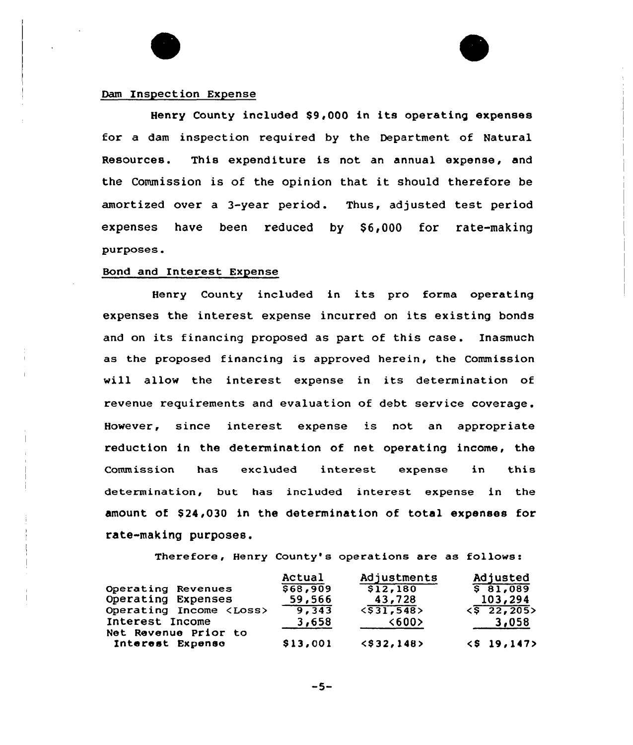## Dam Inspection Expense

Henry County included S9,000 in its operating expenses for a dam inspection required by the Department of Natural Resources. This expenditure is not an annual expense, and the Commission is of the opinion that it should therefore be amortized over a 3-year period. Thus, adjusted test period expenses have been reduced by \$6,000 for rate-making purposes.

#### Bond and Interest Expense

Henry County included in its pro forma operating expenses the interest expense incurred on its existing bonds and on its financing proposed as part of this case. Inasmuch as the proposed financing is approved herein, the Commission will allow the interest expense in its determination of revenue xequirements and evaluation of debt service coverage. However, since interest expense is not an appropriate reduction in the determination of net operating income, the Commission has excluded interest expense in this determination, but has included interest expense in the amount of \$24,030 in the determination of total expenses for rate-making purposes.

Therefore, Henry County's operations are as follows:

|                                          | Actual   | Adjustments         | Adjusted              |
|------------------------------------------|----------|---------------------|-----------------------|
| Operating Revenues                       | \$68,909 | \$12,180            | 581,089               |
| Operating Expenses                       | 59,566   | 43,728              | 103,294               |
| Operating Income <loss></loss>           | 9,343    | $\langle$ \$31,548> | $\langle$ \$ 22, 205> |
| Interest Income                          | 3,658    | <b>&lt;600&gt;</b>  | 3,058                 |
| Net Revenue Prior to<br>Interest Expense | \$13,001 | $<$ \$32, 148>      | $<$ \$ 19,147>        |
|                                          |          |                     |                       |

 $-5-$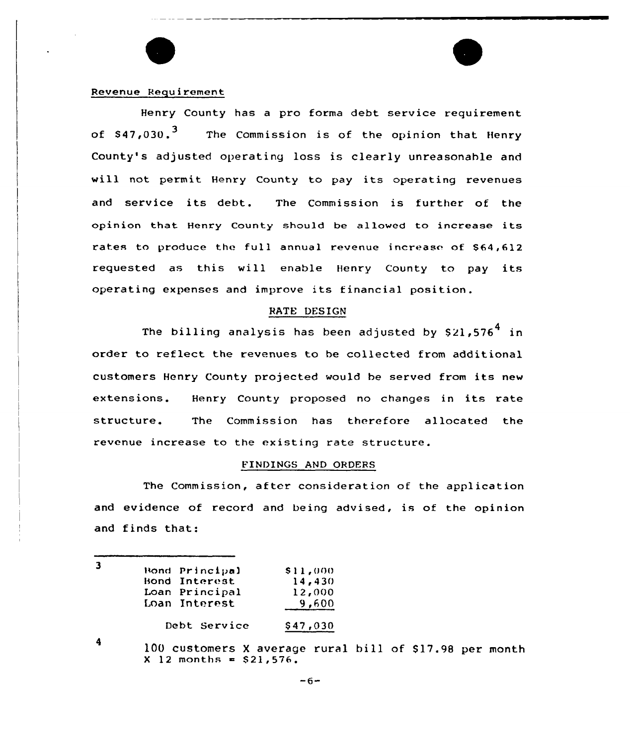

### Revenue Requirement

Henry County has a pro forma debt service requirement of \$47,030.<sup>3</sup> The Commission is of the opinion that Henry County's adjusted operating loss is clearly unreasonahle and vill not permit Henry County to pay its operating revenues and service its debt. The Commission is further of the opinion that Henry County should be allowed to increase its rates to produce the full annual revenue increase of \$64,612 requested as this will enable Henry County to pay its operating expenses and improve its financial position.

#### BATE DESIGN

The billing analysis has been adjusted by  $$21,576<sup>4</sup>$  in order to reflect the revenues to be callected from additional customers Henry County projected wauld be served from its new extensions. Henry County proposed no changes in its rate structure. The Commission has therefore allocated the revenue increase to the existing rate structure.

#### FINDINGS AND ORDERS

The Commission, after consideration of the application and evidence of record and being advised, is of the opinion and finds that:

| Bond Principal | \$11,000 |
|----------------|----------|
| Bond Interest  | 14,430   |
| Loan Principal | 12,000   |
| Loan Interest  | 9,600    |
| Debt Service   | \$47,030 |

4

100 customers X average rural bill of \$17.98 per month  $X$  12 months = \$21,576.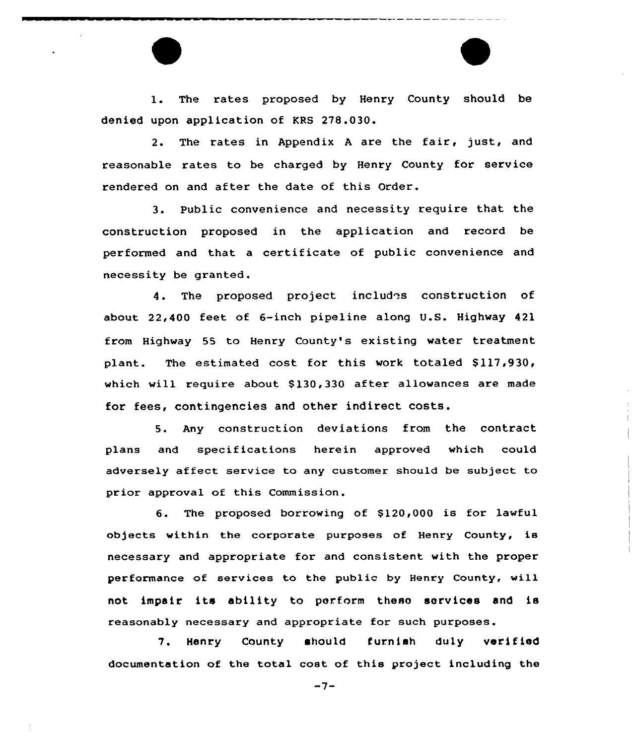1. The rates proposed by Henry County should be denied upon application of KRS 278.030.

2. The rates in Appendix <sup>A</sup> are the fair, just, and reasonable rates to be charged by Henry County for service rendered on and after the date of this Order.

3. Public convenience and necessity require that the construction proposed in the application and record be performed and that a certificate of public convenience and necessity be granted.

4. The proposed project includes construction of about 22,400 feet of 6-inch pipeline along U.S. Highway 421 from Highway 55 to Henry County's existing water treatment plant. The estimated cost for this work totaled \$117,930, which will require about \$130,330 after allowances are made for fees, contingencies and other indirect costs.

5. Any construction deviations from the contract plans and specifications herein approved which could adversely affect service to any customer should be subject to prior approval of this Commission.

6. The proposed borrowing of \$120,000 is for lawful objects within the corporate purposes of Henry County, is necessary and appropriate for and consistent with the proper performance of services to the public by Henry County, will not impair its ability to perform these services and ie reasonably necessary and appropriate for such purposes.

7. Henry County should furnish duly verified documentation of the total cost of this project including the

 $-7-$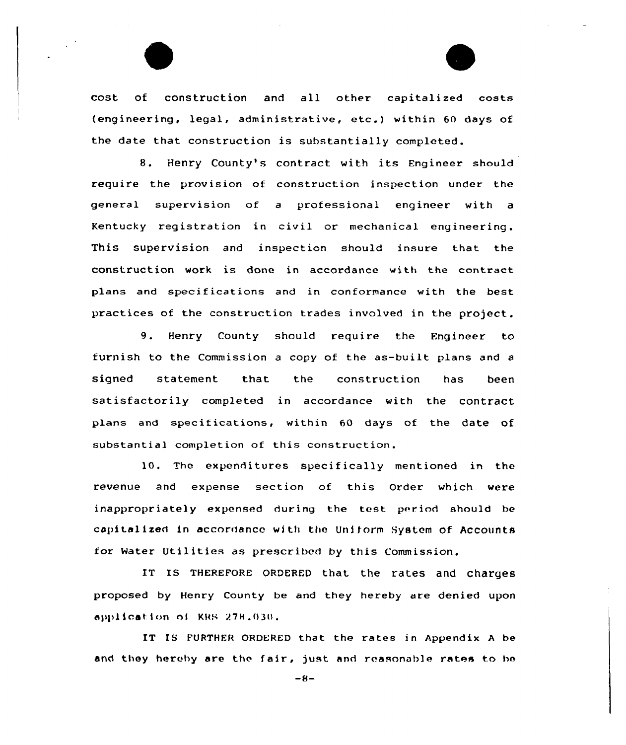cost of construction and all other capitalized costs {engineering, legal, administrative, etc.) within <sup>60</sup> days of the date that construction is substantially completed.

8. Henry County's contract with its Engineer should require the provision of construction inspection under the general supervision of a professional engineer with a Kentucky registration in civil or mechanical engineering. This supervision and inspection should insure that the construction work is done in accordance with the contract plans and specifications and in conformance with the best practices of the construction trades involved in the project.

9. Henry County should require the Engineer to furnish to the Commission a copy of the as-built plans and <sup>a</sup> signed statement that the construction has been satisfactorily completed in accordance with the contract plans and specifications, within 60 days of the date of substantial completion of this construction.

10. The expenditures specifically mentioned in the revenue and expense section of this Order which were inappropriately expensed during the test period should be capitalized in accordance with the Uniform System of Accounts for Water Utilities as prescribed by this Commission.

1T Is THEREFoRE oRDERED that the rates and charges proposed by Henry County be and they hereby are denied upon application nl XRS 27m.030.

IT IS FURTHER ORDERED that the rates in Appendix <sup>A</sup> be and they hereby are the fair, just and reasonable rates to be

 $-8-$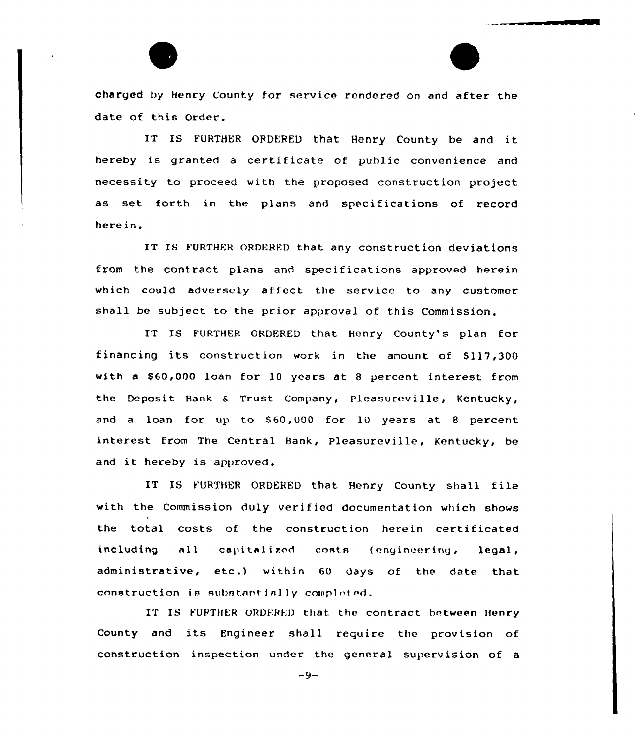charged by Henry County for service rendered on and after the date of this Order.

IT IS FURTHER ORDERED that Henry County be and it hereby is granted a certificate of public convenience and necessity to proceed with the proposed construction project as set forth in the plans and specifications of record herein.

IT IS FURTHER ORDERED that any construction deviations from the contract plans and specifications approved herein which could adversely affect the service to any customer shall be subject to the prior approval of this Commission.

IT IS FURTHER ORDERED that Henry County's plan for financing its construction work in the amount of 8117,300 with a \$60,000 loan for 10 years at 8 percent interest from the Deposit Bank & Trust Company, Pleasureville, Kentucky, and a loan for up to \$60,000 for 10 years at 8 percent interest from The Central Bank, Pleasureville, Kentucky, be and it hereby is approved.

IT IS YURTHER ORDERED that Henry County shall file with the Commission duly verified documentation which shows the total costs of the construction herein certificated including all capitalized costs (engineering, legal, administrative, etc.) within <sup>60</sup> days of the date that construction is substantially completed.

IT IS FURTHER ORDERED that the contract between Henry County and its Engineer shall require the provision of construction inspection under the general supervision of a

-9-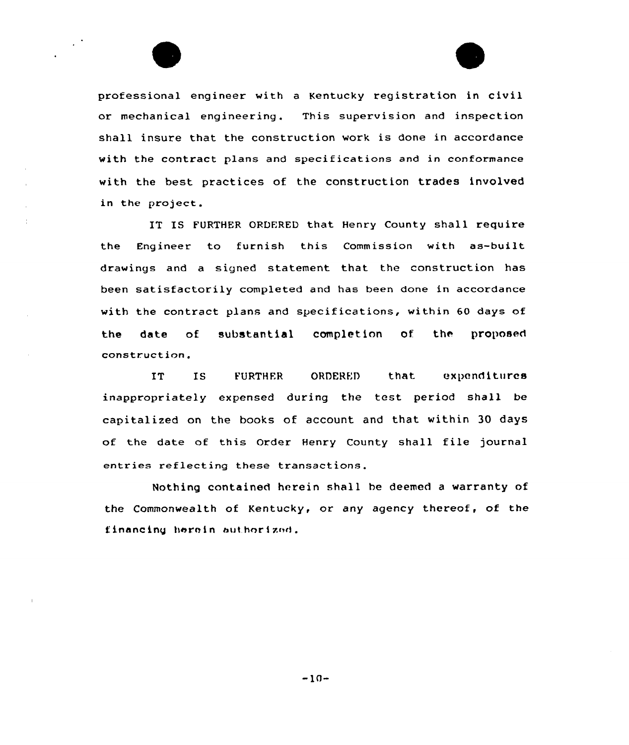professional engineer with <sup>a</sup> Kentucky registration in civil or mechanical engineering. This supervision and inspection shall insure that the construction work is done in accordance with the contract plans and specifications and in conformance with the best practices of the construction trades involved in the project.

 $\bar{1}$ 

IT IS FURTHER ORDERED that Henry County shall require the Engineer to furnish this Commission with as-built drawings and a signed statement that the construction has been satisfactorily completed and has been done in accordance with the contract plans and specifications, within 60 days of the date of substantial completion of the proposed construction.

IT IS FURTHER ORDERED that expenditures inappropriately expensed during the test period shall be capitalized on the books of account and that within 30 days of the date of this Order Henry County shall file journal entries reflecting these transactions.

Nothing contained herein shall he deemed a warranty of the Commonwealth of Kentucky, or any agency thereof, of the financing herein authorized.

 $-10-$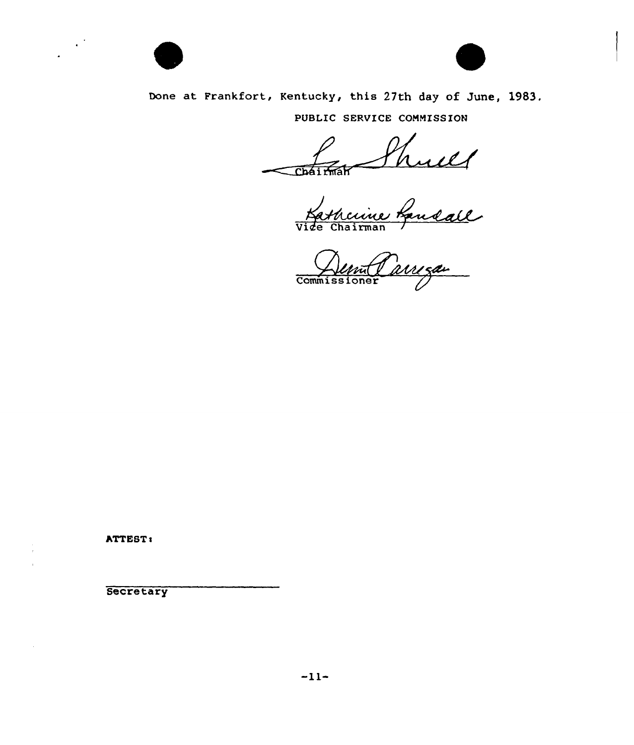

 $\mathcal{L}^{\mathcal{A}}$ 



Done at Frankfort, Kentucky, this 27th day of June, 1983.

PUBLIC SERVICE COMMISSION

Chái <del>M</del>ak Shull<br>cuive Landall

Commissioner

ATTEST:

**Secretary** 

 $\sim$